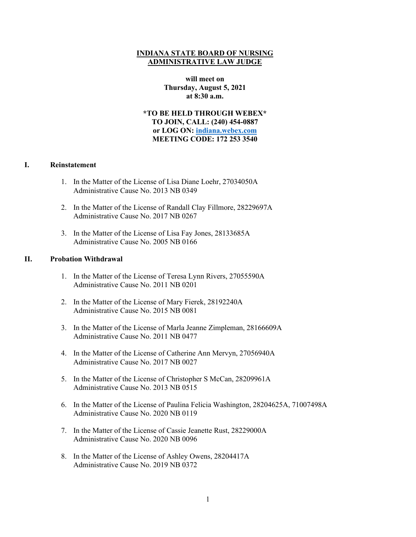## **INDIANA STATE BOARD OF NURSING ADMINISTRATIVE LAW JUDGE**

**will meet on Thursday, August 5, 2021 at 8:30 a.m.**

**\*TO BE HELD THROUGH WEBEX\* TO JOIN, CALL: (240) 454-0887 or LOG ON: [indiana.webex.com](https://indiana.webex.com/webappng/sites/indiana/dashboard?siteurl=indiana) MEETING CODE: 172 253 3540**

## **I. Reinstatement**

- 1. In the Matter of the License of Lisa Diane Loehr, 27034050A Administrative Cause No. 2013 NB 0349
- 2. In the Matter of the License of Randall Clay Fillmore, 28229697A Administrative Cause No. 2017 NB 0267
- 3. In the Matter of the License of Lisa Fay Jones, 28133685A Administrative Cause No. 2005 NB 0166

## **II. Probation Withdrawal**

- 1. In the Matter of the License of Teresa Lynn Rivers, 27055590A Administrative Cause No. 2011 NB 0201
- 2. In the Matter of the License of Mary Fierek, 28192240A Administrative Cause No. 2015 NB 0081
- 3. In the Matter of the License of Marla Jeanne Zimpleman, 28166609A Administrative Cause No. 2011 NB 0477
- 4. In the Matter of the License of Catherine Ann Mervyn, 27056940A Administrative Cause No. 2017 NB 0027
- 5. In the Matter of the License of Christopher S McCan, 28209961A Administrative Cause No. 2013 NB 0515
- 6. In the Matter of the License of Paulina Felicia Washington, 28204625A, 71007498A Administrative Cause No. 2020 NB 0119
- 7. In the Matter of the License of Cassie Jeanette Rust, 28229000A Administrative Cause No. 2020 NB 0096
- 8. In the Matter of the License of Ashley Owens, 28204417A Administrative Cause No. 2019 NB 0372